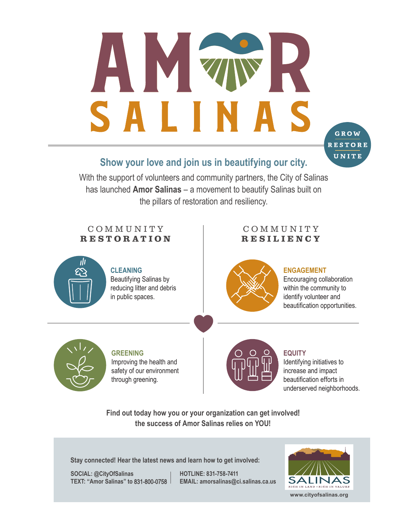# S SAL

# **Show your love and join us in beautifying our city.**

With the support of volunteers and community partners, the City of Salinas has launched **Amor Salinas** – a movement to beautify Salinas built on the pillars of restoration and resiliency.

## C O M M U N I T Y RESTORATION

### C O M M U N I T Y **RESILIENCY**



### **CLEANING** Beautifying Salinas by reducing litter and debris in public spaces.



### **ENGAGEMENT**

Encouraging collaboration within the community to identify volunteer and beautification opportunities.

GROW **RESTORE** UNITE



**GREENING** Improving the health and safety of our environment through greening.



### **EQUITY**

Identifying initiatives to increase and impact beautification efforts in underserved neighborhoods.

**Find out today how you or your organization can get involved**! **the success of Amor Salinas relies on YOU!**

**Stay connected! Hear the latest news and learn how to get involved:**

**SOCIAL HOTLINE: 831-758-7411 TEX EMAIL: amorsalinas@ci.salinas.ca.us**